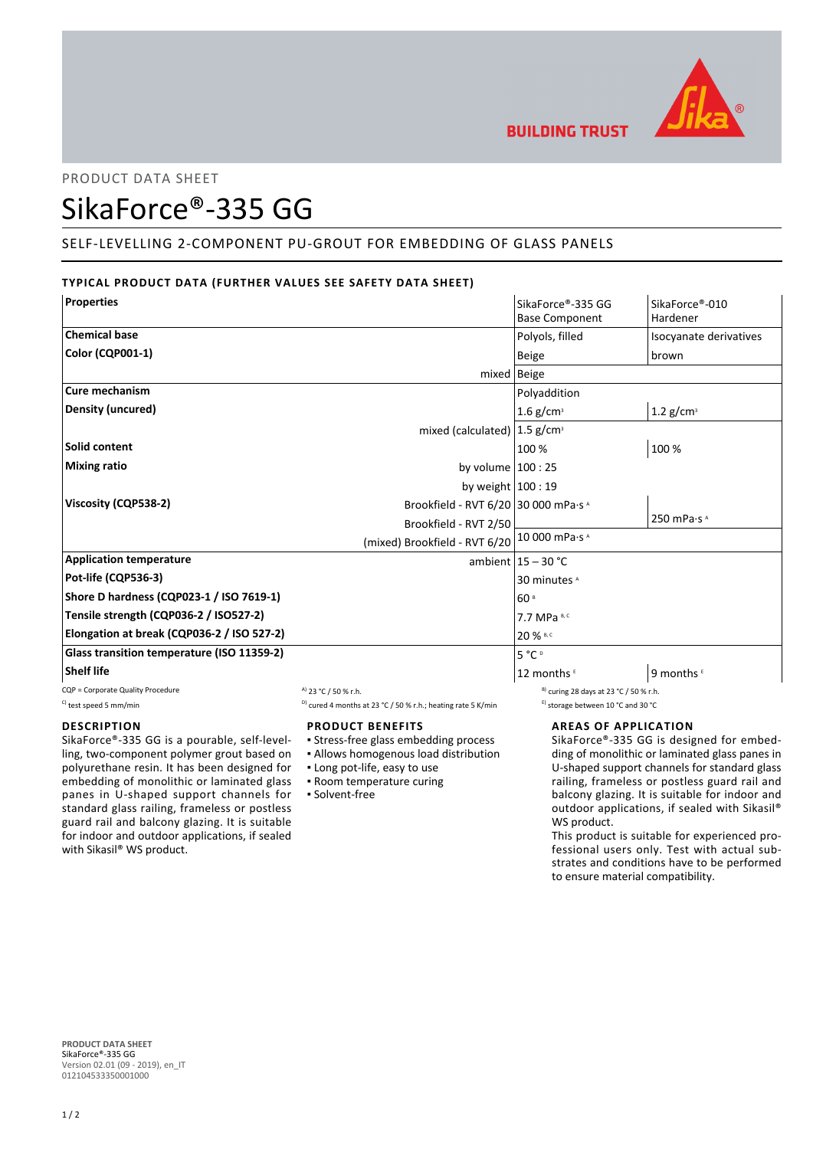

# PRODUCT DATA SHEET

# SikaForce®-335 GG

# SELF-LEVELLING 2-COMPONENT PU-GROUT FOR EMBEDDING OF GLASS PANELS

# **TYPICAL PRODUCT DATA (FURTHER VALUES SEE SAFETY DATA SHEET)**

| <b>Properties</b>                                            | SikaForce®-335 GG       | SikaForce®-010                  |
|--------------------------------------------------------------|-------------------------|---------------------------------|
|                                                              | <b>Base Component</b>   | Hardener                        |
| <b>Chemical base</b>                                         | Polyols, filled         | Isocyanate derivatives          |
| <b>Color (CQP001-1)</b>                                      | Beige                   | brown                           |
|                                                              | $mixed$   Beige         |                                 |
| Cure mechanism                                               | Polyaddition            |                                 |
| Density (uncured)                                            | $1.6$ g/cm <sup>3</sup> | 1.2 $g/cm^3$                    |
| mixed (calculated) $ 1.5$ g/cm <sup>3</sup>                  |                         |                                 |
| Solid content                                                | 100 %                   | 100 %                           |
| <b>Mixing ratio</b><br>by volume $100:25$                    |                         |                                 |
| by weight $100:19$                                           |                         |                                 |
| Viscosity (CQP538-2)<br>Brookfield - RVT 6/20 30 000 mPa·s ^ |                         |                                 |
| Brookfield - RVT 2/50                                        |                         | 250 mPa $\cdot$ s $^{\text{A}}$ |
| (mixed) Brookfield - RVT 6/20 10 000 mPa.s ^                 |                         |                                 |
| <b>Application temperature</b>                               | ambient $15 - 30$ °C    |                                 |
| Pot-life (CQP536-3)                                          | 30 minutes <sup>A</sup> |                                 |
| Shore D hardness (CQP023-1 / ISO 7619-1)                     | 60 <sup>s</sup>         |                                 |
| Tensile strength (CQP036-2 / ISO527-2)                       | 7.7 MPa B, C            |                                 |
| Elongation at break (CQP036-2 / ISO 527-2)                   | 20 % B, C               |                                 |
| Glass transition temperature (ISO 11359-2)                   | $5^{\circ}C^{\circ}$    |                                 |
| <b>Shelf life</b>                                            | 12 months               | 9 months ⊏                      |

CQP = Corporate Quality Procedure  $A$  23 °C / 50 % r.h. B) curing 28 days at 23 °C / 50 % r.h.

## **DESCRIPTION**

SikaForce®-335 GG is a pourable, self-levelling, two-component polymer grout based on polyurethane resin. It has been designed for embedding of monolithic or laminated glass panes in U-shaped support channels for standard glass railing, frameless or postless guard rail and balcony glazing. It is suitable for indoor and outdoor applications, if sealed with Sikasil® WS product.

#### C) test speed 5 mm/min  $D$  cured 4 months at 23 °C / 50 % r.h.; heating rate 5 K/min  $D$  storage between 10 °C and 30 °C

**PRODUCT BENEFITS**

- Stress-free glass embedding process
- Allows homogenous load distribution
- Long pot-life, easy to use
- **Room temperature curing**
- Solvent-free

## **AREAS OF APPLICATION**

SikaForce®-335 GG is designed for embedding of monolithic or laminated glass panes in U-shaped support channels for standard glass railing, frameless or postless guard rail and balcony glazing. It is suitable for indoor and outdoor applications, if sealed with Sikasil® WS product.

This product is suitable for experienced professional users only. Test with actual substrates and conditions have to be performed to ensure material compatibility.

**PRODUCT DATA SHEET** SikaForce®-335 GG Version 02.01 (09 - 2019), en\_IT 012104533350001000